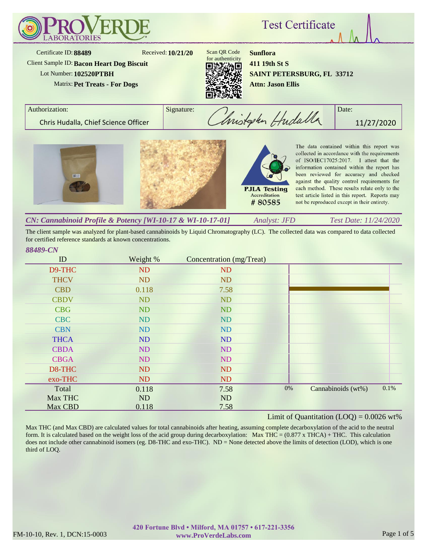

*Analyst: JFD Test Date: 11/24/2020 CN: Cannabinoid Profile & Potency [WI-10-17 & WI-10-17-01]*

The client sample was analyzed for plant-based cannabinoids by Liquid Chromatography (LC). The collected data was compared to data collected for certified reference standards at known concentrations.

| ID          | Weight %  | Concentration (mg/Treat) |    |                    |      |
|-------------|-----------|--------------------------|----|--------------------|------|
| D9-THC      | <b>ND</b> | <b>ND</b>                |    |                    |      |
| <b>THCV</b> | <b>ND</b> | <b>ND</b>                |    |                    |      |
| <b>CBD</b>  | 0.118     | 7.58                     |    |                    |      |
| <b>CBDV</b> | <b>ND</b> | <b>ND</b>                |    |                    |      |
| <b>CBG</b>  | ND        | ND                       |    |                    |      |
| <b>CBC</b>  | ND        | <b>ND</b>                |    |                    |      |
| <b>CBN</b>  | ND        | <b>ND</b>                |    |                    |      |
| <b>THCA</b> | ND        | ND                       |    |                    |      |
| <b>CBDA</b> | ND        | <b>ND</b>                |    |                    |      |
| <b>CBGA</b> | ND        | ND                       |    |                    |      |
| D8-THC      | <b>ND</b> | ND                       |    |                    |      |
| exo-THC     | <b>ND</b> | <b>ND</b>                |    |                    |      |
| Total       | 0.118     | 7.58                     | 0% | Cannabinoids (wt%) | 0.1% |
| Max THC     | ND        | <b>ND</b>                |    |                    |      |
| Max CBD     | 0.118     | 7.58                     |    |                    |      |

# Limit of Quantitation  $(LOQ) = 0.0026$  wt%

Max THC (and Max CBD) are calculated values for total cannabinoids after heating, assuming complete decarboxylation of the acid to the neutral form. It is calculated based on the weight loss of the acid group during decarboxylation: Max THC = (0.877 x THCA) + THC. This calculation does not include other cannabinoid isomers (eg. D8-THC and exo-THC). ND = None detected above the limits of detection (LOD), which is one third of LOQ.

*88489-CN*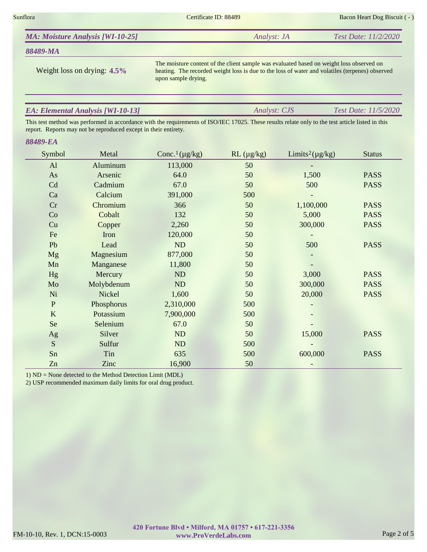Sunflora Bacon Heart Dog Biscuit ( - ) Certificate ID: 88489 Bacon Heart Dog Biscuit ( - )

| <b>MA: Moisture Analysis [WI-10-25]</b> | Analyst: JA | Test Date: 11/2/2020 |
|-----------------------------------------|-------------|----------------------|
|                                         |             |                      |

## *88489-MA*

Weight loss on drying: **4.5%**

The moisture content of the client sample was evaluated based on weight loss observed on heating. The recorded weight loss is due to the loss of water and volatiles (terpenes) observed upon sample drying.

*Analyst: CJS Test Date: 11/5/2020*

# *EA: Elemental Analysis [WI-10-13]*

This test method was performed in accordance with the requirements of ISO/IEC 17025. These results relate only to the test article listed in this report. Reports may not be reproduced except in their entirety.

#### *88489-EA*

| Symbol       | Metal      | Conc. <sup>1</sup> ( $\mu$ g/kg) | $RL (\mu g/kg)$ | Limits <sup>2</sup> ( $\mu$ g/kg) | <b>Status</b> |
|--------------|------------|----------------------------------|-----------------|-----------------------------------|---------------|
| AI           | Aluminum   | 113,000                          | 50              |                                   |               |
| As           | Arsenic    | 64.0                             | 50              | 1,500                             | <b>PASS</b>   |
| Cd           | Cadmium    | 67.0                             | 50              | 500                               | <b>PASS</b>   |
| Ca           | Calcium    | 391,000                          | 500             |                                   |               |
| Cr           | Chromium   | 366                              | 50              | 1,100,000                         | <b>PASS</b>   |
| Co           | Cobalt     | 132                              | 50              | 5,000                             | <b>PASS</b>   |
| Cu           | Copper     | 2,260                            | 50              | 300,000                           | <b>PASS</b>   |
| Fe           | Iron       | 120,000                          | 50              |                                   |               |
| Pb           | Lead       | ND                               | 50              | 500                               | <b>PASS</b>   |
| <b>Mg</b>    | Magnesium  | 877,000                          | 50              |                                   |               |
| Mn           | Manganese  | 11,800                           | 50              |                                   |               |
| Hg           | Mercury    | ND                               | 50              | 3,000                             | <b>PASS</b>   |
| Mo           | Molybdenum | ND                               | 50              | 300,000                           | <b>PASS</b>   |
| Ni           | Nickel     | 1,600                            | 50              | 20,000                            | <b>PASS</b>   |
| $\mathbf{P}$ | Phosphorus | 2,310,000                        | 500             |                                   |               |
| $\bf K$      | Potassium  | 7,900,000                        | 500             |                                   |               |
| Se           | Selenium   | 67.0                             | 50              |                                   |               |
| Ag           | Silver     | ND                               | 50              | 15,000                            | <b>PASS</b>   |
| ${\bf S}$    | Sulfur     | ND                               | 500             |                                   |               |
| Sn           | Tin        | 635                              | 500             | 600,000                           | <b>PASS</b>   |
| Zn           | Zinc       | 16,900                           | 50              |                                   |               |

1) ND = None detected to the Method Detection Limit (MDL)

2) USP recommended maximum daily limits for oral drug product.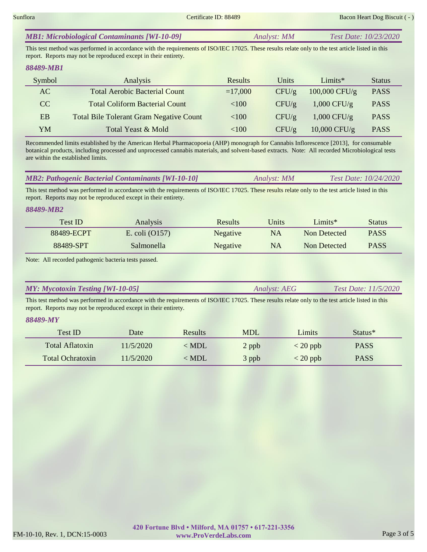| <b>MB1: Microbiological Contaminants [WI-10-09]</b> | Analyst: MM | Test Date: 10/23/2020 |
|-----------------------------------------------------|-------------|-----------------------|
|-----------------------------------------------------|-------------|-----------------------|

This test method was performed in accordance with the requirements of ISO/IEC 17025. These results relate only to the test article listed in this report. Reports may not be reproduced except in their entirety.

# *88489-MB1*

| Symbol | Analysis                                       | <b>Results</b> | Units    | $Limits*$       | <b>Status</b> |
|--------|------------------------------------------------|----------------|----------|-----------------|---------------|
| AC     | <b>Total Aerobic Bacterial Count</b>           | $=17,000$      | CFU/g    | $100,000$ CFU/g | <b>PASS</b>   |
| CC     | <b>Total Coliform Bacterial Count</b>          | < 100          | $CFU/\g$ | $1,000$ CFU/g   | <b>PASS</b>   |
| EB     | <b>Total Bile Tolerant Gram Negative Count</b> | <100           | CFU/g    | $1,000$ CFU/g   | <b>PASS</b>   |
| YM     | Total Yeast & Mold                             | <100           | CFU/g    | $10,000$ CFU/g  | <b>PASS</b>   |

Recommended limits established by the American Herbal Pharmacopoeia (AHP) monograph for Cannabis Inflorescence [2013], for consumable botanical products, including processed and unprocessed cannabis materials, and solvent-based extracts. Note: All recorded Microbiological tests are within the established limits.

| <b>MB2: Pathogenic Bacterial Contaminants [WI-10-10]</b> | Analyst: MM | Test Date: 10/24/2020 |
|----------------------------------------------------------|-------------|-----------------------|
|                                                          |             |                       |

This test method was performed in accordance with the requirements of ISO/IEC 17025. These results relate only to the test article listed in this report. Reports may not be reproduced except in their entirety.

### *88489-MB2*

| Test ID    | <b>Analysis</b>  | <b>Results</b> | Units     | Limits*      | Status      |
|------------|------------------|----------------|-----------|--------------|-------------|
| 88489-ECPT | E. coli $(0157)$ | Negative       | <b>NA</b> | Non Detected | <b>PASS</b> |
| 88489-SPT  | Salmonella       | Negative       | <b>NA</b> | Non Detected | <b>PASS</b> |

Note: All recorded pathogenic bacteria tests passed.

|  | <b>MY: Mycotoxin Testing [WI-10-05]</b> | <i>Analyst: AEG</i> | <i>Test Date: 11/5/2020</i> |
|--|-----------------------------------------|---------------------|-----------------------------|
|--|-----------------------------------------|---------------------|-----------------------------|

This test method was performed in accordance with the requirements of ISO/IEC 17025. These results relate only to the test article listed in this report. Reports may not be reproduced except in their entirety.

### *88489-MY*

| Test ID          | Date      | <b>Results</b> | <b>MDL</b> | Limits         | Status <sup>*</sup> |
|------------------|-----------|----------------|------------|----------------|---------------------|
| Total Aflatoxin  | 11/5/2020 | $\langle$ MDL  | 2 ppb      | $\rm < 20$ ppb | <b>PASS</b>         |
| Total Ochratoxin | 11/5/2020 | < MDL          | 3 ppb      | $<$ 20 ppb     | <b>PASS</b>         |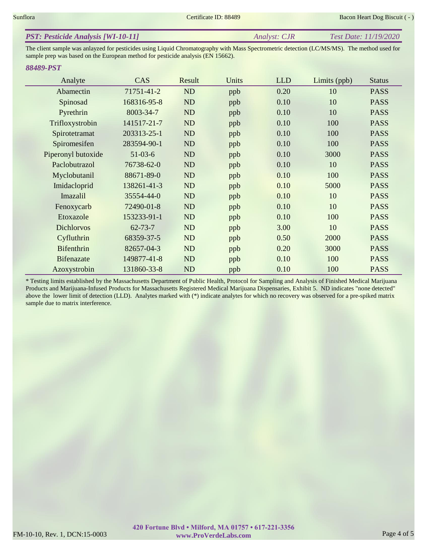The client sample was anlayzed for pesticides using Liquid Chromatography with Mass Spectrometric detection (LC/MS/MS). The method used for sample prep was based on the European method for pesticide analysis (EN 15662).

# *88489-PST*

| Analyte            | CAS           | Result    | Units | <b>LLD</b> | Limits (ppb) | <b>Status</b> |
|--------------------|---------------|-----------|-------|------------|--------------|---------------|
| Abamectin          | 71751-41-2    | <b>ND</b> | ppb   | 0.20       | 10           | <b>PASS</b>   |
| Spinosad           | 168316-95-8   | <b>ND</b> | ppb   | 0.10       | 10           | <b>PASS</b>   |
| Pyrethrin          | 8003-34-7     | <b>ND</b> | ppb   | 0.10       | 10           | <b>PASS</b>   |
| Trifloxystrobin    | 141517-21-7   | <b>ND</b> | ppb   | 0.10       | 100          | <b>PASS</b>   |
| Spirotetramat      | 203313-25-1   | <b>ND</b> | ppb   | 0.10       | 100          | <b>PASS</b>   |
| Spiromesifen       | 283594-90-1   | <b>ND</b> | ppb   | 0.10       | 100          | <b>PASS</b>   |
| Piperonyl butoxide | $51-03-6$     | ND        | ppb   | 0.10       | 3000         | <b>PASS</b>   |
| Paclobutrazol      | 76738-62-0    | <b>ND</b> | ppb   | 0.10       | 10           | <b>PASS</b>   |
| Myclobutanil       | 88671-89-0    | ND        | ppb   | 0.10       | 100          | <b>PASS</b>   |
| Imidacloprid       | 138261-41-3   | ND        | ppb   | 0.10       | 5000         | <b>PASS</b>   |
| Imazalil           | 35554-44-0    | <b>ND</b> | ppb   | 0.10       | 10           | <b>PASS</b>   |
| Fenoxycarb         | 72490-01-8    | <b>ND</b> | ppb   | 0.10       | 10           | <b>PASS</b>   |
| Etoxazole          | 153233-91-1   | ND        | ppb   | 0.10       | 100          | <b>PASS</b>   |
| <b>Dichlorvos</b>  | $62 - 73 - 7$ | ND        | ppb   | 3.00       | 10           | <b>PASS</b>   |
| Cyfluthrin         | 68359-37-5    | ND        | ppb   | 0.50       | 2000         | <b>PASS</b>   |
| <b>Bifenthrin</b>  | 82657-04-3    | <b>ND</b> | ppb   | 0.20       | 3000         | <b>PASS</b>   |
| <b>Bifenazate</b>  | 149877-41-8   | <b>ND</b> | ppb   | 0.10       | 100          | <b>PASS</b>   |
| Azoxystrobin       | 131860-33-8   | <b>ND</b> | ppb   | 0.10       | 100          | <b>PASS</b>   |

\* Testing limits established by the Massachusetts Department of Public Health, Protocol for Sampling and Analysis of Finished Medical Marijuana Products and Marijuana-Infused Products for Massachusetts Registered Medical Marijuana Dispensaries, Exhibit 5. ND indicates "none detected" above the lower limit of detection (LLD). Analytes marked with (\*) indicate analytes for which no recovery was observed for a pre-spiked matrix sample due to matrix interference.